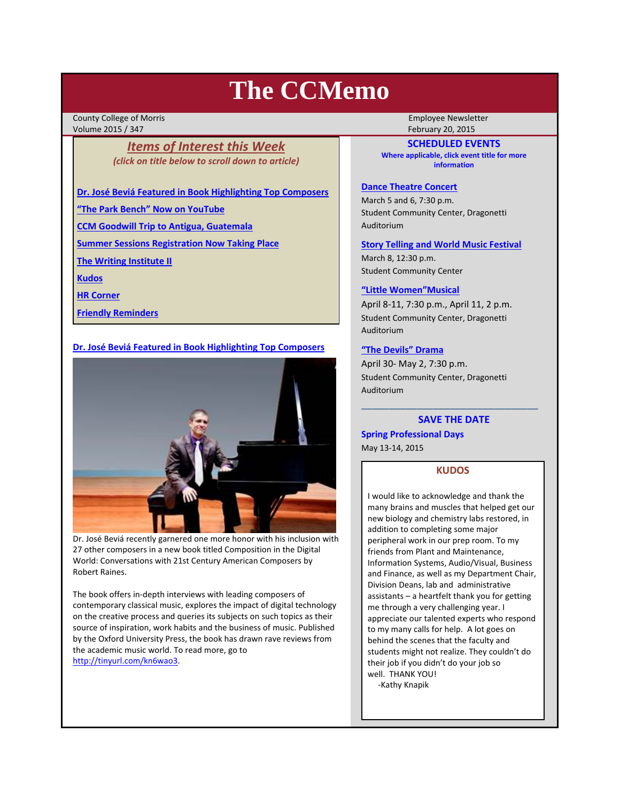# **The CCMemo**

County College of Morris **County College of Morris County College of Morris County College Newsletter** Volume 2015 / 347 February 20, 2015

# *Items of Interest this Week (click on title below to scroll down to article)*

**Dr. José Beviá Featured in Book Highlighting Top Composers**

**"The Park Bench" Now on YouTube**

**CCM Goodwill Trip to Antigua, Guatemala**

**Summer Sessions Registration Now Taking Place**

**The Writing Institute II**

**Kudos**

**HR Corner**

**Friendly Reminders**

## **Dr. José Beviá Featured in Book Highlighting Top Composers**



Dr. José Beviá recently garnered one more honor with his inclusion with 27 other composers in a new book titled Composition in the Digital World: Conversations with 21st Century American Composers by Robert Raines.

The book offers in‐depth interviews with leading composers of contemporary classical music, explores the impact of digital technology on the creative process and queries its subjects on such topics as their source of inspiration, work habits and the business of music. Published by the Oxford University Press, the book has drawn rave reviews from the academic music world. To read more, go to http://tinyurl.com/kn6wao3.

**SCHEDULED EVENTS Where applicable, click event title for more information**

## **Dance Theatre Concert**

March 5 and 6, 7:30 p.m. Student Community Center, Dragonetti Auditorium

## **Story Telling and World Music Festival**

March 8, 12:30 p.m. Student Community Center

## **"Little Women"Musical**

April 8‐11, 7:30 p.m., April 11, 2 p.m. Student Community Center, Dragonetti Auditorium

## **"The Devils" Drama**

April 30‐ May 2, 7:30 p.m. Student Community Center, Dragonetti Auditorium

# \_\_\_\_\_\_\_\_\_\_\_\_\_\_\_\_\_\_\_\_\_\_\_\_\_\_\_\_\_\_\_\_ **SAVE THE DATE**

**Spring Professional Days**

May 13‐14, 2015

# **KUDOS**

I would like to acknowledge and thank the many brains and muscles that helped get our new biology and chemistry labs restored, in addition to completing some major peripheral work in our prep room. To my friends from Plant and Maintenance, Information Systems, Audio/Visual, Business and Finance, as well as my Department Chair, Division Deans, lab and administrative assistants – a heartfelt thank you for getting me through a very challenging year. I appreciate our talented experts who respond to my many calls for help. A lot goes on behind the scenes that the faculty and students might not realize. They couldn't do their job if you didn't do your job so well. THANK YOU! ‐Kathy Knapik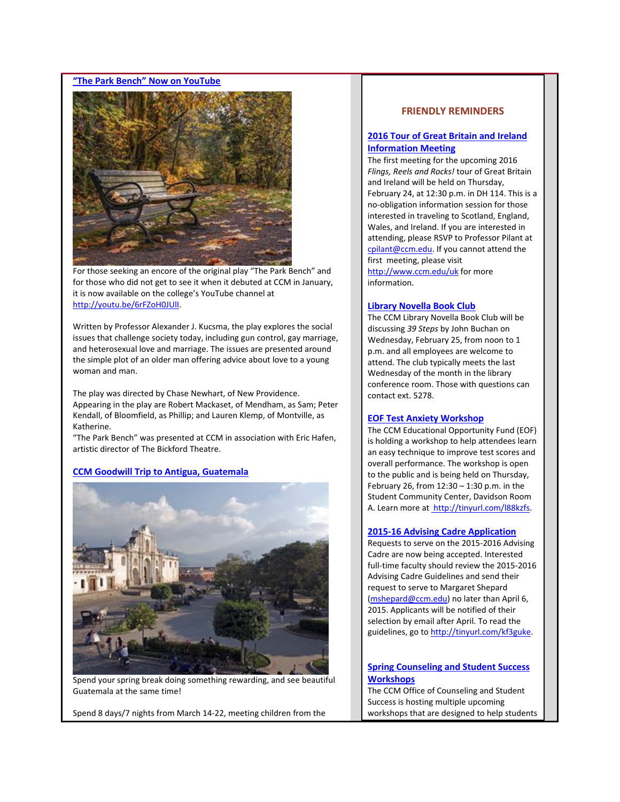#### **"The Park Bench" Now on YouTube**



For those seeking an encore of the original play "The Park Bench" and for those who did not get to see it when it debuted at CCM in January, it is now available on the college's YouTube channel at http://youtu.be/6rFZoH0JUlI.

Written by Professor Alexander J. Kucsma, the play explores the social issues that challenge society today, including gun control, gay marriage, and heterosexual love and marriage. The issues are presented around the simple plot of an older man offering advice about love to a young woman and man.

The play was directed by Chase Newhart, of New Providence. Appearing in the play are Robert Mackaset, of Mendham, as Sam; Peter Kendall, of Bloomfield, as Phillip; and Lauren Klemp, of Montville, as Katherine.

"The Park Bench" was presented at CCM in association with Eric Hafen, artistic director of The Bickford Theatre.

#### **CCM Goodwill Trip to Antigua, Guatemala**



Spend your spring break doing something rewarding, and see beautiful Guatemala at the same time!

Spend 8 days/7 nights from March 14‐22, meeting children from the

## **FRIENDLY REMINDERS**

## **2016 Tour of Great Britain and Ireland Information Meeting**

The first meeting for the upcoming 2016 *Flings, Reels and Rocks!* tour of Great Britain and Ireland will be held on Thursday, February 24, at 12:30 p.m. in DH 114. This is a no‐obligation information session for those interested in traveling to Scotland, England, Wales, and Ireland. If you are interested in attending, please RSVP to Professor Pilant at cpilant@ccm.edu. If you cannot attend the first meeting, please visit http://www.ccm.edu/uk for more information.

#### **Library Novella Book Club**

The CCM Library Novella Book Club will be discussing *39 Steps* by John Buchan on Wednesday, February 25, from noon to 1 p.m. and all employees are welcome to attend. The club typically meets the last Wednesday of the month in the library conference room. Those with questions can contact ext. 5278.

#### **EOF Test Anxiety Workshop**

The CCM Educational Opportunity Fund (EOF) is holding a workshop to help attendees learn an easy technique to improve test scores and overall performance. The workshop is open to the public and is being held on Thursday, February 26, from 12:30 – 1:30 p.m. in the Student Community Center, Davidson Room A. Learn more at http://tinyurl.com/l88kzfs.

#### **2015‐16 Advising Cadre Application**

Requests to serve on the 2015‐2016 Advising Cadre are now being accepted. Interested full-time faculty should review the 2015-2016 Advising Cadre Guidelines and send their request to serve to Margaret Shepard (mshepard@ccm.edu) no later than April 6, 2015. Applicants will be notified of their selection by email after April. To read the guidelines, go to http://tinyurl.com/kf3guke.

## **Spring Counseling and Student Success Workshops**

The CCM Office of Counseling and Student Success is hosting multiple upcoming workshops that are designed to help students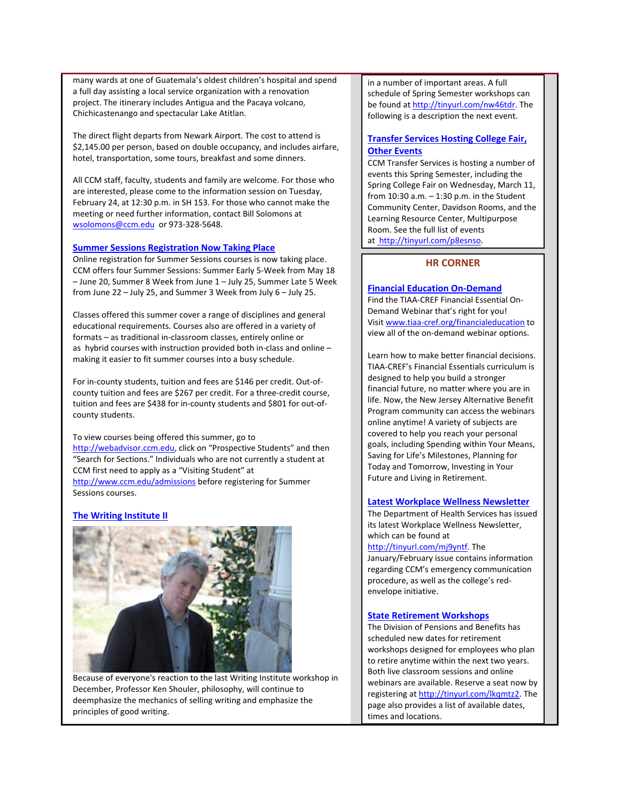many wards at one of Guatemala's oldest children's hospital and spend a full day assisting a local service organization with a renovation project. The itinerary includes Antigua and the Pacaya volcano, Chichicastenango and spectacular Lake Atitlan.

The direct flight departs from Newark Airport. The cost to attend is \$2,145.00 per person, based on double occupancy, and includes airfare, hotel, transportation, some tours, breakfast and some dinners.

All CCM staff, faculty, students and family are welcome. For those who are interested, please come to the information session on Tuesday, February 24, at 12:30 p.m. in SH 153. For those who cannot make the meeting or need further information, contact Bill Solomons at wsolomons@ccm.edu or 973‐328‐5648.

## **Summer Sessions Registration Now Taking Place**

Online registration for Summer Sessions courses is now taking place. CCM offers four Summer Sessions: Summer Early 5‐Week from May 18 – June 20, Summer 8 Week from June 1 – July 25, Summer Late 5 Week from June 22 – July 25, and Summer 3 Week from July 6 – July 25.

Classes offered this summer cover a range of disciplines and general educational requirements. Courses also are offered in a variety of formats – as traditional in‐classroom classes, entirely online or as hybrid courses with instruction provided both in‐class and online – making it easier to fit summer courses into a busy schedule.

For in‐county students, tuition and fees are \$146 per credit. Out‐of‐ county tuition and fees are \$267 per credit. For a three‐credit course, tuition and fees are \$438 for in‐county students and \$801 for out‐of‐ county students.

To view courses being offered this summer, go to http://webadvisor.ccm.edu, click on "Prospective Students" and then "Search for Sections." Individuals who are not currently a student at CCM first need to apply as a "Visiting Student" at http://www.ccm.edu/admissions before registering for Summer Sessions courses.

# **The Writing Institute II**



Because of everyone's reaction to the last Writing Institute workshop in December, Professor Ken Shouler, philosophy, will continue to deemphasize the mechanics of selling writing and emphasize the principles of good writing.

in a number of important areas. A full schedule of Spring Semester workshops can be found at http://tinyurl.com/nw46tdr. The following is a description the next event.

# **Transfer Services Hosting College Fair, Other Events**

CCM Transfer Services is hosting a number of events this Spring Semester, including the Spring College Fair on Wednesday, March 11, from 10:30 a.m. – 1:30 p.m. in the Student Community Center, Davidson Rooms, and the Learning Resource Center, Multipurpose Room. See the full list of events at http://tinyurl.com/p8esnso.

# **HR CORNER**

## **Financial Education On‐Demand**

Find the TIAA‐CREF Financial Essential On‐ Demand Webinar that's right for you! Visit www.tiaa‐cref.org/financialeducation to view all of the on‐demand webinar options.

Learn how to make better financial decisions. TIAA‐CREF's Financial Essentials curriculum is designed to help you build a stronger financial future, no matter where you are in life. Now, the New Jersey Alternative Benefit Program community can access the webinars online anytime! A variety of subjects are covered to help you reach your personal goals, including Spending within Your Means, Saving for Life's Milestones, Planning for Today and Tomorrow, Investing in Your Future and Living in Retirement.

#### **Latest Workplace Wellness Newsletter**

The Department of Health Services has issued its latest Workplace Wellness Newsletter, which can be found at

http://tinyurl.com/mj9yntf. The January/February issue contains information regarding CCM's emergency communication procedure, as well as the college's red‐ envelope initiative.

## **State Retirement Workshops**

The Division of Pensions and Benefits has scheduled new dates for retirement workshops designed for employees who plan to retire anytime within the next two years. Both live classroom sessions and online webinars are available. Reserve a seat now by registering at http://tinyurl.com/lkqmtz2. The page also provides a list of available dates, times and locations.